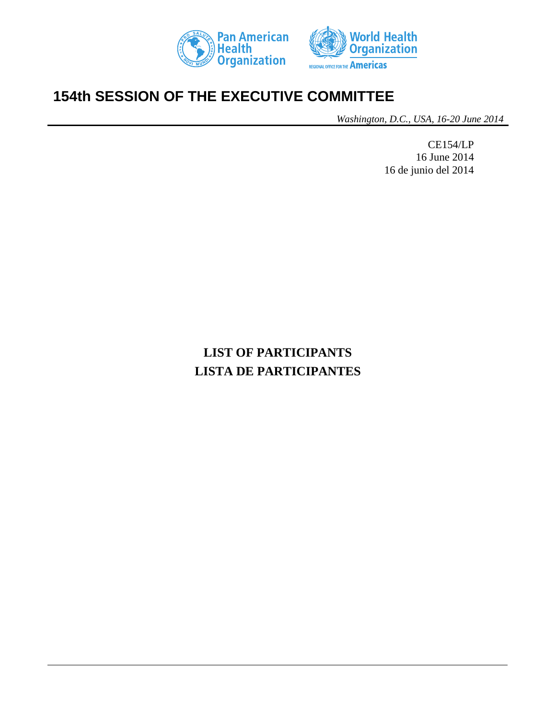



# **154th SESSION OF THE EXECUTIVE COMMITTEE**

*Washington, D.C., USA, 16-20 June 2014*

CE154/LP 16 June 2014 16 de junio del 2014

# **LIST OF PARTICIPANTS LISTA DE PARTICIPANTES**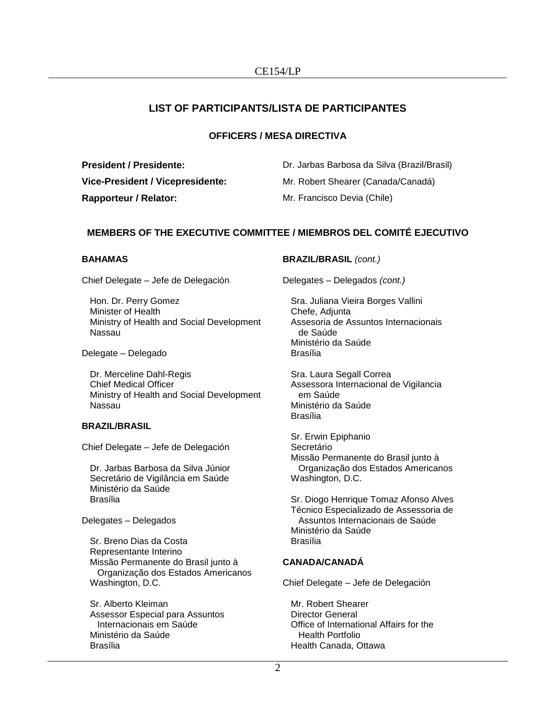# **LIST OF PARTICIPANTS/LISTA DE PARTICIPANTES**

# **OFFICERS / MESA DIRECTIVA**

**Rapporteur / Relator:** Mr. Francisco Devia (Chile)

**President / Presidente:** Dr. Jarbas Barbosa da Silva (Brazil/Brasil) **Vice-President / Vicepresidente:** Mr. Robert Shearer (Canada/Canadá)

# **MEMBERS OF THE EXECUTIVE COMMITTEE / MIEMBROS DEL COMITÉ EJECUTIVO**

# **BAHAMAS**

Chief Delegate – Jefe de Delegación

Hon. Dr. Perry Gomez Minister of Health Ministry of Health and Social Development Nassau

Delegate – Delegado

Dr. Merceline Dahl-Regis Chief Medical Officer Ministry of Health and Social Development Nassau

# **BRAZIL/BRASIL**

Chief Delegate – Jefe de Delegación

Dr. Jarbas Barbosa da Silva Júnior Secretário de Vigilância em Saúde Ministério da Saúde Brasília

#### Delegates – Delegados

Sr. Breno Dias da Costa Representante Interino Missão Permanente do Brasil junto à Organização dos Estados Americanos Washington, D.C.

Sr. Alberto Kleiman Assessor Especial para Assuntos Internacionais em Saúde Ministério da Saúde Brasília

# **BRAZIL/BRASIL** *(cont.)*

Delegates – Delegados *(cont.)*

Sra. Juliana Vieira Borges Vallini Chefe, Adjunta Assesoria de Assuntos Internacionais de Saúde Ministério da Saúde Brasília

Sra. Laura Segall Correa Assessora Internacional de Vigilancia em Saúde Ministério da Saúde Brasília

Sr. Erwin Epiphanio Secretário Missão Permanente do Brasil junto à Organização dos Estados Americanos Washington, D.C.

Sr. Diogo Henrique Tomaz Afonso Alves Técnico Especializado de Assessoria de Assuntos Internacionais de Saúde Ministério da Saúde Brasília

# **CANADA/CANADÁ**

Chief Delegate – Jefe de Delegación

Mr. Robert Shearer Director General Office of International Affairs for the Health Portfolio Health Canada, Ottawa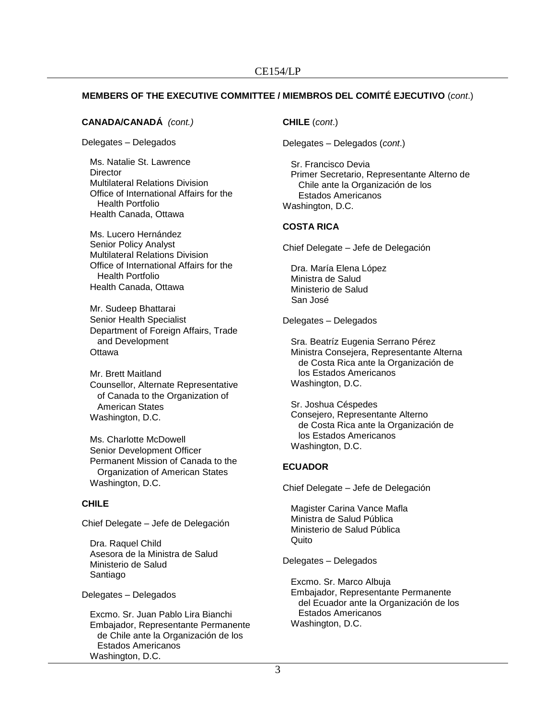# **MEMBERS OF THE EXECUTIVE COMMITTEE / MIEMBROS DEL COMITÉ EJECUTIVO** (*cont*.)

#### **CANADA/CANADÁ** *(cont.)*

Delegates – Delegados

Ms. Natalie St. Lawrence **Director** Multilateral Relations Division Office of International Affairs for the Health Portfolio Health Canada, Ottawa

Ms. Lucero Hernández Senior Policy Analyst Multilateral Relations Division Office of International Affairs for the Health Portfolio Health Canada, Ottawa

Mr. Sudeep Bhattarai Senior Health Specialist Department of Foreign Affairs, Trade and Development **Ottawa** 

Mr. Brett Maitland Counsellor, Alternate Representative of Canada to the Organization of American States Washington, D.C.

Ms. Charlotte McDowell Senior Development Officer Permanent Mission of Canada to the Organization of American States Washington, D.C.

# **CHILE**

Chief Delegate – Jefe de Delegación

Dra. Raquel Child Asesora de la Ministra de Salud Ministerio de Salud Santiago

Delegates – Delegados

Excmo. Sr. Juan Pablo Lira Bianchi Embajador, Representante Permanente de Chile ante la Organización de los Estados Americanos Washington, D.C.

# **CHILE** (*cont*.)

Delegates – Delegados (*cont*.)

Sr. Francisco Devia Primer Secretario, Representante Alterno de Chile ante la Organización de los Estados Americanos Washington, D.C.

# **COSTA RICA**

Chief Delegate – Jefe de Delegación

Dra. María Elena López Ministra de Salud Ministerio de Salud San José

Delegates – Delegados

Sra. Beatríz Eugenia Serrano Pérez Ministra Consejera, Representante Alterna de Costa Rica ante la Organización de los Estados Americanos Washington, D.C.

Sr. Joshua Céspedes Consejero, Representante Alterno de Costa Rica ante la Organización de los Estados Americanos Washington, D.C.

# **ECUADOR**

Chief Delegate – Jefe de Delegación

Magister Carina Vance Mafla Ministra de Salud Pública Ministerio de Salud Pública Quito

Delegates – Delegados

Excmo. Sr. Marco Albuja Embajador, Representante Permanente del Ecuador ante la Organización de los Estados Americanos Washington, D.C.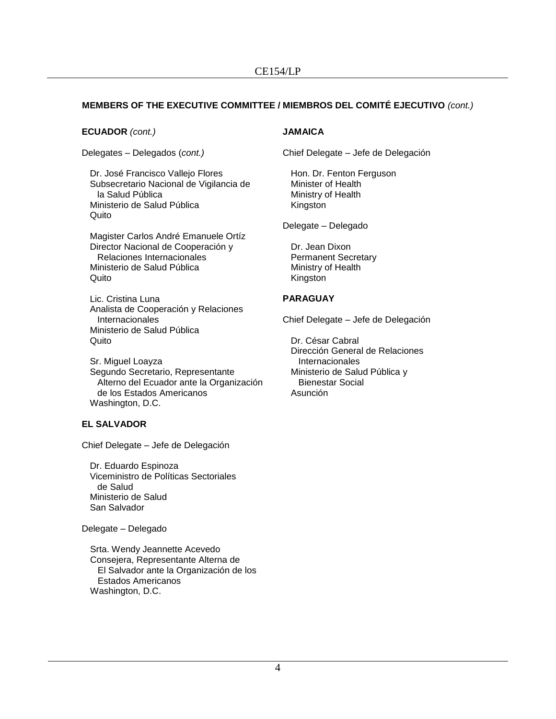# **MEMBERS OF THE EXECUTIVE COMMITTEE / MIEMBROS DEL COMITÉ EJECUTIVO** *(cont.)*

#### **ECUADOR** *(cont.)*

Delegates – Delegados (*cont.)*

Dr. José Francisco Vallejo Flores Subsecretario Nacional de Vigilancia de la Salud Pública Ministerio de Salud Pública Quito

Magister Carlos André Emanuele Ortíz Director Nacional de Cooperación y Relaciones Internacionales Ministerio de Salud Pública **Quito** 

Lic. Cristina Luna Analista de Cooperación y Relaciones Internacionales Ministerio de Salud Pública Quito

Sr. Miguel Loayza Segundo Secretario, Representante Alterno del Ecuador ante la Organización de los Estados Americanos Washington, D.C.

# **EL SALVADOR**

Chief Delegate – Jefe de Delegación

Dr. Eduardo Espinoza Viceministro de Políticas Sectoriales de Salud Ministerio de Salud San Salvador

Delegate – Delegado

Srta. Wendy Jeannette Acevedo Consejera, Representante Alterna de El Salvador ante la Organización de los Estados Americanos Washington, D.C.

# **JAMAICA**

Chief Delegate – Jefe de Delegación

Hon. Dr. Fenton Ferguson Minister of Health Ministry of Health Kingston

Delegate – Delegado

Dr. Jean Dixon Permanent Secretary Ministry of Health Kingston

#### **PARAGUAY**

Chief Delegate – Jefe de Delegación

Dr. César Cabral Dirección General de Relaciones Internacionales Ministerio de Salud Pública y Bienestar Social Asunción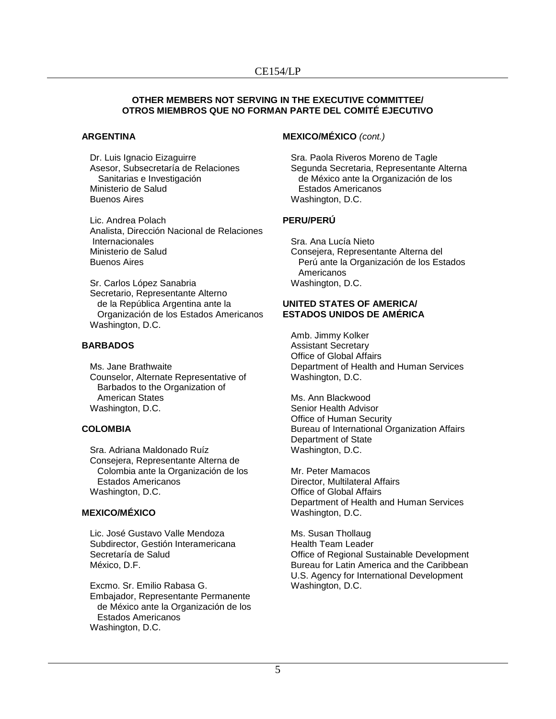#### **OTHER MEMBERS NOT SERVING IN THE EXECUTIVE COMMITTEE/ OTROS MIEMBROS QUE NO FORMAN PARTE DEL COMITÉ EJECUTIVO**

#### **ARGENTINA**

Dr. Luis Ignacio Eizaguirre Asesor, Subsecretaría de Relaciones Sanitarias e Investigación Ministerio de Salud Buenos Aires

Lic. Andrea Polach Analista, Dirección Nacional de Relaciones Internacionales Ministerio de Salud Buenos Aires

Sr. Carlos López Sanabria Secretario, Representante Alterno de la República Argentina ante la Organización de los Estados Americanos Washington, D.C.

# **BARBADOS**

Ms. Jane Brathwaite Counselor, Alternate Representative of Barbados to the Organization of American States Washington, D.C.

# **COLOMBIA**

Sra. Adriana Maldonado Ruíz Consejera, Representante Alterna de Colombia ante la Organización de los Estados Americanos Washington, D.C.

# **MEXICO/MÉXICO**

Lic. José Gustavo Valle Mendoza Subdirector, Gestión Interamericana Secretaría de Salud México, D.F.

Excmo. Sr. Emilio Rabasa G. Embajador, Representante Permanente de México ante la Organización de los Estados Americanos Washington, D.C.

# **MEXICO/MÉXICO** *(cont.)*

Sra. Paola Riveros Moreno de Tagle Segunda Secretaria, Representante Alterna de México ante la Organización de los Estados Americanos Washington, D.C.

# **PERU/PERÚ**

Sra. Ana Lucía Nieto Consejera, Representante Alterna del Perú ante la Organización de los Estados Americanos Washington, D.C.

#### **UNITED STATES OF AMERICA/ ESTADOS UNIDOS DE AMÉRICA**

Amb. Jimmy Kolker Assistant Secretary Office of Global Affairs Department of Health and Human Services Washington, D.C.

Ms. Ann Blackwood Senior Health Advisor Office of Human Security Bureau of International Organization Affairs Department of State Washington, D.C.

Mr. Peter Mamacos Director, Multilateral Affairs Office of Global Affairs Department of Health and Human Services Washington, D.C.

Ms. Susan Thollaug Health Team Leader Office of Regional Sustainable Development Bureau for Latin America and the Caribbean U.S. Agency for International Development Washington, D.C.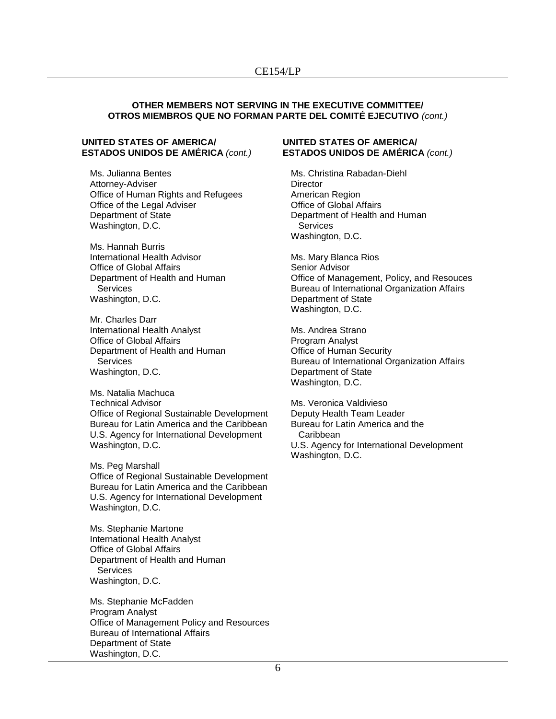#### **OTHER MEMBERS NOT SERVING IN THE EXECUTIVE COMMITTEE/ OTROS MIEMBROS QUE NO FORMAN PARTE DEL COMITÉ EJECUTIVO** *(cont.)*

#### **UNITED STATES OF AMERICA/ ESTADOS UNIDOS DE AMÉRICA** *(cont.)*

Ms. Julianna Bentes Attorney-Adviser Office of Human Rights and Refugees Office of the Legal Adviser Department of State Washington, D.C.

Ms. Hannah Burris International Health Advisor Office of Global Affairs Department of Health and Human **Services** Washington, D.C.

Mr. Charles Darr International Health Analyst Office of Global Affairs Department of Health and Human **Services** Washington, D.C.

Ms. Natalia Machuca Technical Advisor Office of Regional Sustainable Development Bureau for Latin America and the Caribbean U.S. Agency for International Development Washington, D.C.

Ms. Peg Marshall Office of Regional Sustainable Development Bureau for Latin America and the Caribbean U.S. Agency for International Development Washington, D.C.

Ms. Stephanie Martone International Health Analyst Office of Global Affairs Department of Health and Human **Services** Washington, D.C.

Ms. Stephanie McFadden Program Analyst Office of Management Policy and Resources Bureau of International Affairs Department of State Washington, D.C.

#### **UNITED STATES OF AMERICA/ ESTADOS UNIDOS DE AMÉRICA** *(cont.)*

Ms. Christina Rabadan-Diehl **Director** American Region Office of Global Affairs Department of Health and Human Services Washington, D.C.

Ms. Mary Blanca Rios Senior Advisor Office of Management, Policy, and Resouces Bureau of International Organization Affairs Department of State Washington, D.C.

Ms. Andrea Strano Program Analyst Office of Human Security Bureau of International Organization Affairs Department of State Washington, D.C.

Ms. Veronica Valdivieso Deputy Health Team Leader Bureau for Latin America and the Caribbean U.S. Agency for International Development Washington, D.C.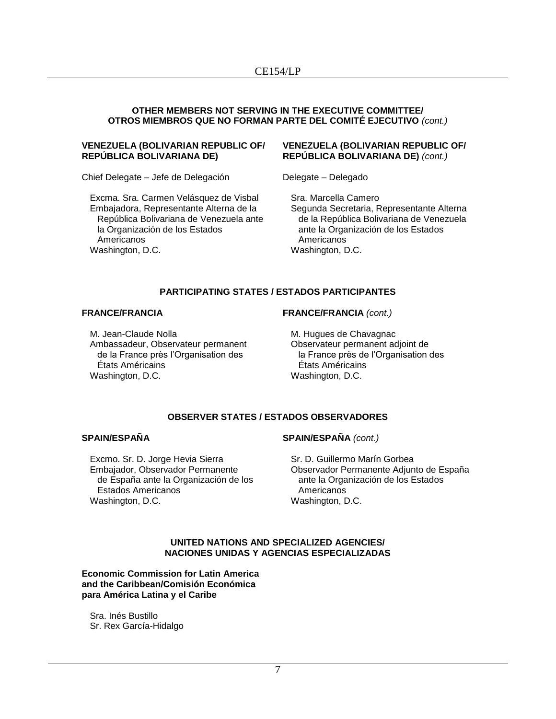#### **OTHER MEMBERS NOT SERVING IN THE EXECUTIVE COMMITTEE/ OTROS MIEMBROS QUE NO FORMAN PARTE DEL COMITÉ EJECUTIVO** *(cont.)*

#### **VENEZUELA (BOLIVARIAN REPUBLIC OF/ REPÚBLICA BOLIVARIANA DE)**

Chief Delegate – Jefe de Delegación

Excma. Sra. Carmen Velásquez de Visbal Embajadora, Representante Alterna de la República Bolivariana de Venezuela ante la Organización de los Estados Americanos Washington, D.C.

#### **VENEZUELA (BOLIVARIAN REPUBLIC OF/ REPÚBLICA BOLIVARIANA DE)** *(cont.)*

Delegate – Delegado

Sra. Marcella Camero Segunda Secretaria, Representante Alterna de la República Bolivariana de Venezuela ante la Organización de los Estados Americanos Washington, D.C.

# **PARTICIPATING STATES / ESTADOS PARTICIPANTES**

#### **FRANCE/FRANCIA**

M. Jean-Claude Nolla Ambassadeur, Observateur permanent de la France près l'Organisation des États Américains Washington, D.C.

#### **FRANCE/FRANCIA** *(cont.)*

M. Hugues de Chavagnac Observateur permanent adjoint de la France près de l'Organisation des États Américains Washington, D.C.

# **OBSERVER STATES / ESTADOS OBSERVADORES**

#### **SPAIN/ESPAÑA**

Excmo. Sr. D. Jorge Hevia Sierra Embajador, Observador Permanente de España ante la Organización de los Estados Americanos Washington, D.C.

#### **SPAIN/ESPAÑA** *(cont.)*

Sr. D. Guillermo Marín Gorbea Observador Permanente Adjunto de España ante la Organización de los Estados Americanos Washington, D.C.

#### **UNITED NATIONS AND SPECIALIZED AGENCIES/ NACIONES UNIDAS Y AGENCIAS ESPECIALIZADAS**

**Economic Commission for Latin America and the Caribbean/Comisión Económica para América Latina y el Caribe**

Sra. Inés Bustillo Sr. Rex García-Hidalgo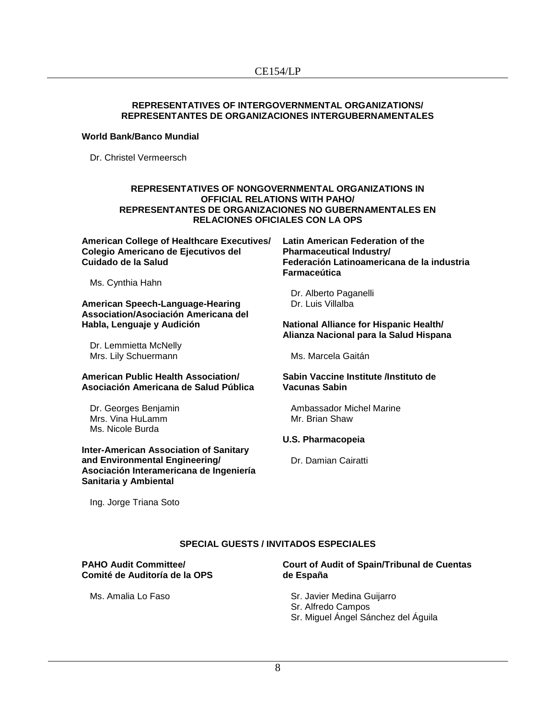### **REPRESENTATIVES OF INTERGOVERNMENTAL ORGANIZATIONS/ REPRESENTANTES DE ORGANIZACIONES INTERGUBERNAMENTALES**

#### **World Bank/Banco Mundial**

Dr. Christel Vermeersch

#### **REPRESENTATIVES OF NONGOVERNMENTAL ORGANIZATIONS IN OFFICIAL RELATIONS WITH PAHO/ REPRESENTANTES DE ORGANIZACIONES NO GUBERNAMENTALES EN RELACIONES OFICIALES CON LA OPS**

**American College of Healthcare Executives/ Colegio Americano de Ejecutivos del Cuidado de la Salud**

Ms. Cynthia Hahn

**American Speech-Language-Hearing Association/Asociación Americana del Habla, Lenguaje y Audición**

Dr. Lemmietta McNelly Mrs. Lily Schuermann

#### **American Public Health Association/ Asociación Americana de Salud Pública**

Dr. Georges Benjamin Mrs. Vina HuLamm Ms. Nicole Burda

**Inter-American Association of Sanitary and Environmental Engineering/ Asociación Interamericana de Ingeniería Sanitaria y Ambiental**

**Latin American Federation of the Pharmaceutical Industry/ Federación Latinoamericana de la industria Farmaceútica**

Dr. Alberto Paganelli Dr. Luis Villalba

#### **National Alliance for Hispanic Health/ Alianza Nacional para la Salud Hispana**

Ms. Marcela Gaitán

#### **Sabin Vaccine Institute /Instituto de Vacunas Sabin**

Ambassador Michel Marine Mr. Brian Shaw

# **U.S. Pharmacopeia**

Dr. Damian Cairatti

Ing. Jorge Triana Soto

# **SPECIAL GUESTS / INVITADOS ESPECIALES**

#### **PAHO Audit Committee/ Comité de Auditoría de la OPS**

**Court of Audit of Spain/Tribunal de Cuentas de España**

Ms. Amalia Lo Faso

# Sr. Javier Medina Guijarro

- Sr. Alfredo Campos
- Sr. Miguel Ángel Sánchez del Águila